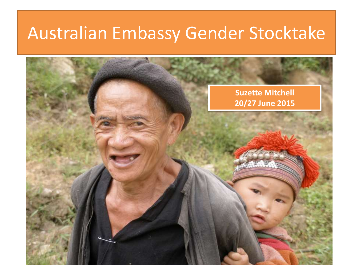### Australian Embassy Gender Stocktake

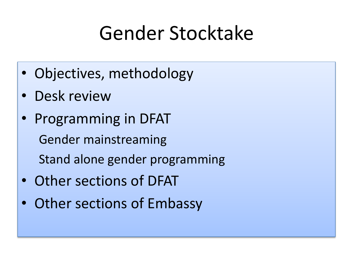## Gender Stocktake

- Objectives, methodology
- Desk review
- Programming in DFAT Gender mainstreaming Stand alone gender programming
- Other sections of DFAT
- Other sections of Embassy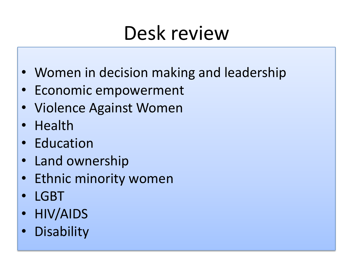## Desk review

- Women in decision making and leadership
- Economic empowerment
- Violence Against Women
- Health
- Education
- Land ownership
- Ethnic minority women
- LGBT
- HIV/AIDS
- **Disability**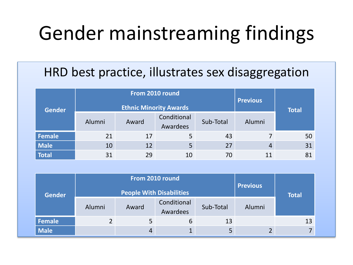## Gender mainstreaming findings

### HRD best practice, illustrates sex disaggregation

| <b>Gender</b> |        | From 2010 round<br><b>Ethnic Minority Awards</b> | <b>Previous</b>         | <b>Total</b> |                |    |
|---------------|--------|--------------------------------------------------|-------------------------|--------------|----------------|----|
|               | Alumni | Award                                            | Conditional<br>Awardees | Sub-Total    | Alumni         |    |
| Female        | 21     | 17                                               |                         | 43           |                | 50 |
| Male          | 10     | 12                                               |                         | 27           | $\overline{4}$ | 31 |
| <b>Total</b>  | 31     | 29                                               | 10                      | 70           | 11             | 81 |

| <b>Gender</b> | From 2010 round<br><b>People With Disabilities</b> |       |                         |           | <b>Previous</b> | <b>Total</b> |  |
|---------------|----------------------------------------------------|-------|-------------------------|-----------|-----------------|--------------|--|
|               | Alumni                                             | Award | Conditional<br>Awardees | Sub-Total | Alumni          |              |  |
| Female        |                                                    | 5     | 6                       | 13        |                 | 13           |  |
| <b>Male</b>   |                                                    | 4     |                         | 5         |                 |              |  |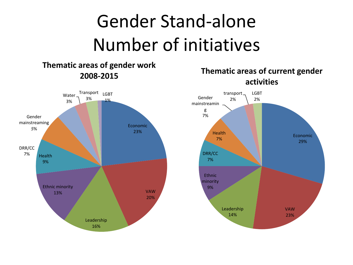## Gender Stand-alone Number of initiatives

#### **Thematic areas of gender work 2008-2015**



#### **Thematic areas of current gender activities**

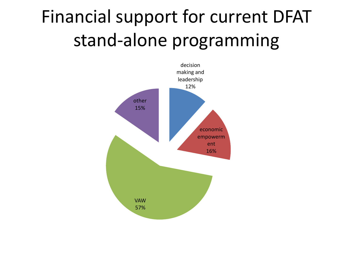## Financial support for current DFAT stand-alone programming

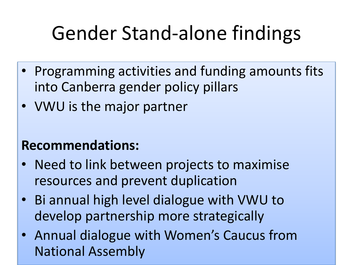# Gender Stand-alone findings

- Programming activities and funding amounts fits into Canberra gender policy pillars
- VWU is the major partner

### **Recommendations:**

- Need to link between projects to maximise resources and prevent duplication
- Bi annual high level dialogue with VWU to develop partnership more strategically
- Annual dialogue with Women's Caucus from National Assembly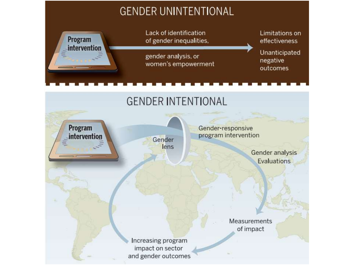### **GENDER UNINTENTIONAL**



Program

intervention

Lack of identification of gender inequalities,

gender analysis, or women's empowerment Limitations on effectiveness

Unanticipated negative outcomes

### **GENDER INTENTIONAL**

Gender lens Gender-responsive program intervention

> Gender analysis Evaluations

Measurements of impact

Increasing program impact on sector and gender outcomes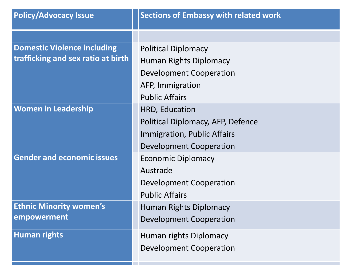| <b>Policy/Advocacy Issue</b>       | <b>Sections of Embassy with related work</b> |
|------------------------------------|----------------------------------------------|
|                                    |                                              |
| <b>Domestic Violence including</b> | <b>Political Diplomacy</b>                   |
| trafficking and sex ratio at birth | Human Rights Diplomacy                       |
|                                    | <b>Development Cooperation</b>               |
|                                    | AFP, Immigration                             |
|                                    | <b>Public Affairs</b>                        |
| <b>Women in Leadership</b>         | HRD, Education                               |
|                                    | Political Diplomacy, AFP, Defence            |
|                                    | Immigration, Public Affairs                  |
|                                    | Development Cooperation                      |
| <b>Gender and economic issues</b>  | <b>Economic Diplomacy</b>                    |
|                                    | Austrade                                     |
|                                    | Development Cooperation                      |
|                                    | <b>Public Affairs</b>                        |
| <b>Ethnic Minority women's</b>     | <b>Human Rights Diplomacy</b>                |
| empowerment                        | <b>Development Cooperation</b>               |
| <b>Human rights</b>                | Human rights Diplomacy                       |
|                                    | Development Cooperation                      |